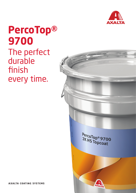

## **PercoTop® 9700** The perfect durable finish every time.



**AXALTA COATING SYSTEMS**